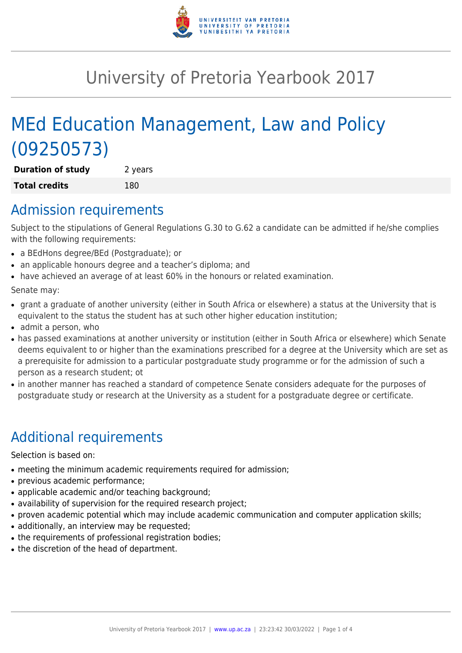

# University of Pretoria Yearbook 2017

# MEd Education Management, Law and Policy (09250573)

**Duration of study** 2 years **Total credits** 180

# Admission requirements

Subject to the stipulations of General Regulations G.30 to G.62 a candidate can be admitted if he/she complies with the following requirements:

- a BEdHons degree/BEd (Postgraduate); or
- an applicable honours degree and a teacher's diploma; and
- have achieved an average of at least 60% in the honours or related examination.

Senate may:

- grant a graduate of another university (either in South Africa or elsewhere) a status at the University that is equivalent to the status the student has at such other higher education institution;
- admit a person, who
- has passed examinations at another university or institution (either in South Africa or elsewhere) which Senate deems equivalent to or higher than the examinations prescribed for a degree at the University which are set as a prerequisite for admission to a particular postgraduate study programme or for the admission of such a person as a research student; ot
- in another manner has reached a standard of competence Senate considers adequate for the purposes of postgraduate study or research at the University as a student for a postgraduate degree or certificate.

# Additional requirements

Selection is based on:

- meeting the minimum academic requirements required for admission;
- previous academic performance;
- applicable academic and/or teaching background;
- availability of supervision for the required research project;
- proven academic potential which may include academic communication and computer application skills;
- additionally, an interview may be requested;
- the requirements of professional registration bodies;
- the discretion of the head of department.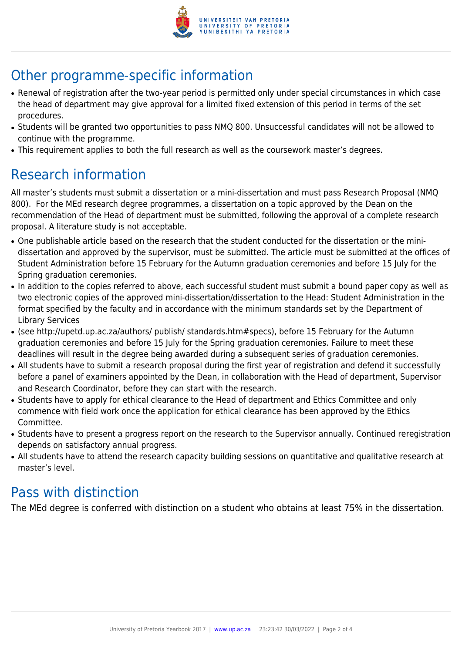

# Other programme-specific information

- Renewal of registration after the two-year period is permitted only under special circumstances in which case the head of department may give approval for a limited fixed extension of this period in terms of the set procedures.
- Students will be granted two opportunities to pass NMQ 800. Unsuccessful candidates will not be allowed to continue with the programme.
- This requirement applies to both the full research as well as the coursework master's degrees.

# Research information

All master's students must submit a dissertation or a mini-dissertation and must pass Research Proposal (NMQ 800). For the MEd research degree programmes, a dissertation on a topic approved by the Dean on the recommendation of the Head of department must be submitted, following the approval of a complete research proposal. A literature study is not acceptable.

- One publishable article based on the research that the student conducted for the dissertation or the minidissertation and approved by the supervisor, must be submitted. The article must be submitted at the offices of Student Administration before 15 February for the Autumn graduation ceremonies and before 15 July for the Spring graduation ceremonies.
- In addition to the copies referred to above, each successful student must submit a bound paper copy as well as two electronic copies of the approved mini-dissertation/dissertation to the Head: Student Administration in the format specified by the faculty and in accordance with the minimum standards set by the Department of Library Services
- (see http://upetd.up.ac.za/authors/ publish/ standards.htm#specs), before 15 February for the Autumn graduation ceremonies and before 15 July for the Spring graduation ceremonies. Failure to meet these deadlines will result in the degree being awarded during a subsequent series of graduation ceremonies.
- All students have to submit a research proposal during the first year of registration and defend it successfully before a panel of examiners appointed by the Dean, in collaboration with the Head of department, Supervisor and Research Coordinator, before they can start with the research.
- Students have to apply for ethical clearance to the Head of department and Ethics Committee and only commence with field work once the application for ethical clearance has been approved by the Ethics Committee.
- Students have to present a progress report on the research to the Supervisor annually. Continued reregistration depends on satisfactory annual progress.
- All students have to attend the research capacity building sessions on quantitative and qualitative research at master's level.

# Pass with distinction

The MEd degree is conferred with distinction on a student who obtains at least 75% in the dissertation.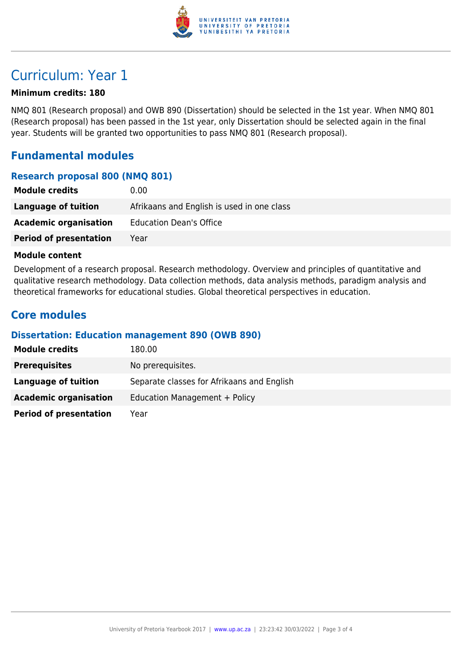

# Curriculum: Year 1

### **Minimum credits: 180**

NMQ 801 (Research proposal) and OWB 890 (Dissertation) should be selected in the 1st year. When NMQ 801 (Research proposal) has been passed in the 1st year, only Dissertation should be selected again in the final year. Students will be granted two opportunities to pass NMQ 801 (Research proposal).

### **Fundamental modules**

### **Research proposal 800 (NMQ 801)**

| <b>Module credits</b>         | 0.00                                       |
|-------------------------------|--------------------------------------------|
| Language of tuition           | Afrikaans and English is used in one class |
| <b>Academic organisation</b>  | <b>Education Dean's Office</b>             |
| <b>Period of presentation</b> | Year                                       |

#### **Module content**

Development of a research proposal. Research methodology. Overview and principles of quantitative and qualitative research methodology. Data collection methods, data analysis methods, paradigm analysis and theoretical frameworks for educational studies. Global theoretical perspectives in education.

### **Core modules**

#### **Dissertation: Education management 890 (OWB 890)**

| <b>Module credits</b>         | 180.00                                     |
|-------------------------------|--------------------------------------------|
| <b>Prerequisites</b>          | No prerequisites.                          |
| Language of tuition           | Separate classes for Afrikaans and English |
| <b>Academic organisation</b>  | Education Management + Policy              |
| <b>Period of presentation</b> | Year                                       |